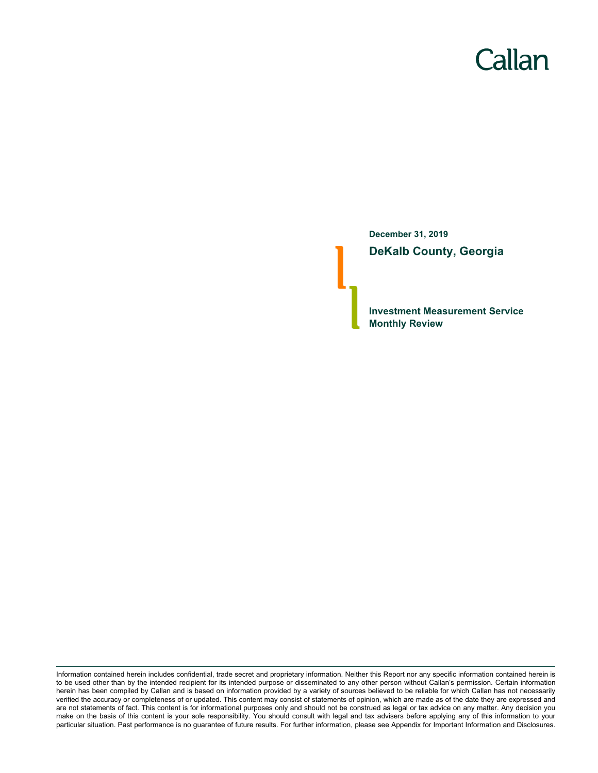# Callan

**December 31, 2019 DeKalb County, Georgia**

**Investment Measurement Service Monthly Review**

Information contained herein includes confidential, trade secret and proprietary information. Neither this Report nor any specific information contained herein is to be used other than by the intended recipient for its intended purpose or disseminated to any other person without Callan's permission. Certain information herein has been compiled by Callan and is based on information provided by a variety of sources believed to be reliable for which Callan has not necessarily verified the accuracy or completeness of or updated. This content may consist of statements of opinion, which are made as of the date they are expressed and are not statements of fact. This content is for informational purposes only and should not be construed as legal or tax advice on any matter. Any decision you make on the basis of this content is your sole responsibility. You should consult with legal and tax advisers before applying any of this information to your particular situation. Past performance is no guarantee of future results. For further information, please see Appendix for Important Information and Disclosures.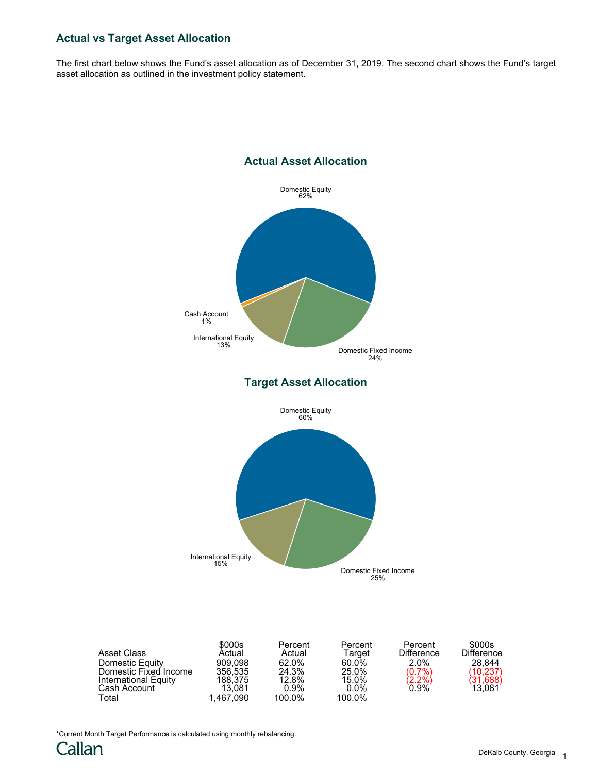# **Actual vs Target Asset Allocation**

The first chart below shows the Fund's asset allocation as of December 31, 2019. The second chart shows the Fund's target asset allocation as outlined in the investment policy statement.



| Asset Class           | \$000s<br>Actual | Percent<br>Actual | Percent<br>Target | Percent<br><b>Difference</b> | \$000s<br><b>Difference</b> |
|-----------------------|------------------|-------------------|-------------------|------------------------------|-----------------------------|
| Domestic Equity       | 909.098          | 62.0%             | 60.0%             | 2.0%                         | 28.844                      |
| Domestic Fixed Income | 356.535          | 24.3%             | 25.0%             | $(0.7\%)$                    | (10, 237)                   |
| International Equity  | 188.375          | 12.8%             | 15.0%             | $\binom{2.2\%}{0.9\%}$       | (31, 688)                   |
| Cash Account          | 13.081           | $0.9\%$           | $0.0\%$           |                              | 13.081                      |
| Total                 | 1.467.090        | 100.0%            | 100.0%            |                              |                             |

\*Current Month Target Performance is calculated using monthly rebalancing.

Callan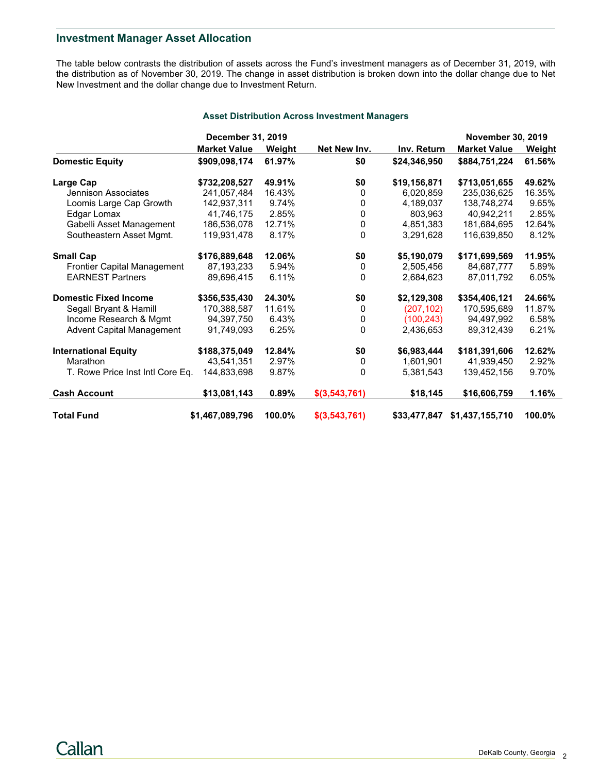# **Investment Manager Asset Allocation**

The table below contrasts the distribution of assets across the Fund's investment managers as of December 31, 2019, with the distribution as of November 30, 2019. The change in asset distribution is broken down into the dollar change due to Net New Investment and the dollar change due to Investment Return.

#### **Asset Distribution Across Investment Managers**

|                                    | December 31, 2019   |        |                 |              | <b>November 30, 2019</b> |        |
|------------------------------------|---------------------|--------|-----------------|--------------|--------------------------|--------|
|                                    | <b>Market Value</b> | Weight | Net New Inv.    | Inv. Return  | <b>Market Value</b>      | Weight |
| <b>Domestic Equity</b>             | \$909,098,174       | 61.97% | \$0             | \$24,346,950 | \$884,751,224            | 61.56% |
| Large Cap                          | \$732,208,527       | 49.91% | \$0             | \$19,156,871 | \$713,051,655            | 49.62% |
| Jennison Associates                | 241,057,484         | 16.43% | $\mathbf{0}$    | 6,020,859    | 235,036,625              | 16.35% |
| Loomis Large Cap Growth            | 142,937,311         | 9.74%  | 0               | 4,189,037    | 138,748,274              | 9.65%  |
| Edgar Lomax                        | 41,746,175          | 2.85%  | 0               | 803,963      | 40,942,211               | 2.85%  |
| Gabelli Asset Management           | 186,536,078         | 12.71% | 0               | 4,851,383    | 181,684,695              | 12.64% |
| Southeastern Asset Mgmt.           | 119,931,478         | 8.17%  | $\Omega$        | 3,291,628    | 116,639,850              | 8.12%  |
| <b>Small Cap</b>                   | \$176,889,648       | 12.06% | \$0             | \$5,190,079  | \$171,699,569            | 11.95% |
| <b>Frontier Capital Management</b> | 87,193,233          | 5.94%  | $\mathbf{0}$    | 2,505,456    | 84,687,777               | 5.89%  |
| <b>EARNEST Partners</b>            | 89,696,415          | 6.11%  | $\mathbf{0}$    | 2.684.623    | 87,011,792               | 6.05%  |
| <b>Domestic Fixed Income</b>       | \$356,535,430       | 24.30% | \$0             | \$2,129,308  | \$354,406,121            | 24.66% |
| Segall Bryant & Hamill             | 170,388,587         | 11.61% | 0               | (207, 102)   | 170,595,689              | 11.87% |
| Income Research & Mgmt             | 94,397,750          | 6.43%  | 0               | (100, 243)   | 94,497,992               | 6.58%  |
| <b>Advent Capital Management</b>   | 91,749,093          | 6.25%  | $\Omega$        | 2,436,653    | 89,312,439               | 6.21%  |
| <b>International Equity</b>        | \$188,375,049       | 12.84% | \$0             | \$6,983,444  | \$181,391,606            | 12.62% |
| Marathon                           | 43,541,351          | 2.97%  | 0               | 1,601,901    | 41,939,450               | 2.92%  |
| T. Rowe Price Inst Intl Core Eq.   | 144,833,698         | 9.87%  | 0               | 5,381,543    | 139,452,156              | 9.70%  |
| <b>Cash Account</b>                | \$13,081,143        | 0.89%  | \$(3, 543, 761) | \$18,145     | \$16,606,759             | 1.16%  |
| <b>Total Fund</b>                  | \$1,467,089,796     | 100.0% | \$(3,543,761)   | \$33,477,847 | \$1,437,155,710          | 100.0% |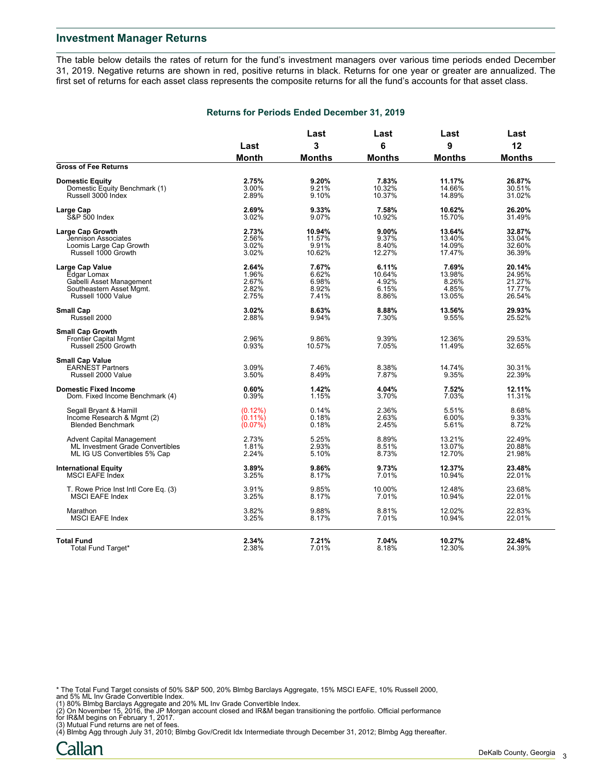The table below details the rates of return for the fund's investment managers over various time periods ended December 31, 2019. Negative returns are shown in red, positive returns in black. Returns for one year or greater are annualized. The first set of returns for each asset class represents the composite returns for all the fund's accounts for that asset class.

#### **Returns for Periods Ended December 31, 2019**

|                                                                                | Last           | Last            | Last           | Last             | Last             |
|--------------------------------------------------------------------------------|----------------|-----------------|----------------|------------------|------------------|
|                                                                                |                | 3               | 6              | 9                | 12               |
|                                                                                | <b>Month</b>   | <b>Months</b>   | <b>Months</b>  | <b>Months</b>    | <b>Months</b>    |
| <b>Gross of Fee Returns</b>                                                    |                |                 |                |                  |                  |
| <b>Domestic Equity</b>                                                         | 2.75%          | 9.20%           | 7.83%          | 11.17%           | 26.87%           |
| Domestic Equity Benchmark (1)                                                  | 3.00%          | 9.21%           | 10.32%         | 14.66%           | 30.51%           |
| Russell 3000 Index                                                             | 2.89%          | 9.10%           | 10.37%         | 14.89%           | 31.02%           |
| Large Cap                                                                      | 2.69%          | 9.33%           | 7.58%          | 10.62%           | 26.20%           |
| <b>S&amp;P 500 Index</b>                                                       | 3.02%          | 9.07%           | 10.92%         | 15.70%           | 31.49%           |
| Large Cap Growth                                                               | 2.73%          | 10.94%          | 9.00%          | 13.64%           | 32.87%           |
| Jennison Associates                                                            | 2.56%          | 11.57%          | 9.37%          | 13.40%           | 33.04%           |
| Loomis Large Cap Growth                                                        | 3.02%          | 9.91%           | 8.40%          | 14.09%           | 32.60%           |
| Russell 1000 Growth                                                            | 3.02%          | 10.62%          | 12.27%         | 17.47%           | 36.39%           |
| <b>Large Cap Value</b>                                                         | 2.64%          | 7.67%           | 6.11%          | 7.69%            | 20.14%           |
| Edgar Lomax                                                                    | 1.96%          | 6.62%           | 10.64%         | 13.98%           | 24.95%           |
| Gabelli Asset Management                                                       | 2.67%          | 6.98%           | 4.92%          | 8.26%            | 21.27%           |
| Southeastern Asset Mgmt.                                                       | 2.82%          | 8.92%           | 6.15%          | 4.85%            | 17.77%           |
| Russell 1000 Value                                                             | 2.75%          | 7.41%           | 8.86%          | 13.05%           | 26.54%           |
| <b>Small Cap</b>                                                               | 3.02%          | 8.63%           | 8.88%          | 13.56%           | 29.93%           |
| Russell 2000                                                                   | 2.88%          | 9.94%           | 7.30%          | 9.55%            | 25.52%           |
| <b>Small Cap Growth</b><br><b>Frontier Capital Mgmt</b><br>Russell 2500 Growth | 2.96%<br>0.93% | 9.86%<br>10.57% | 9.39%<br>7.05% | 12.36%<br>11.49% | 29.53%<br>32.65% |
| <b>Small Cap Value</b><br><b>EARNEST Partners</b><br>Russell 2000 Value        | 3.09%<br>3.50% | 7.46%<br>8.49%  | 8.38%<br>7.87% | 14.74%<br>9.35%  | 30.31%<br>22.39% |
| <b>Domestic Fixed Income</b>                                                   | 0.60%          | 1.42%           | 4.04%          | 7.52%            | 12.11%           |
| Dom. Fixed Income Benchmark (4)                                                | 0.39%          | 1.15%           | 3.70%          | 7.03%            | 11.31%           |
| Segall Bryant & Hamill                                                         | (0.12%)        | 0.14%           | 2.36%          | 5.51%            | 8.68%            |
| Income Research & Mgmt (2)                                                     | $(0.11\%)$     | 0.18%           | 2.63%          | 6.00%            | 9.33%            |
| <b>Blended Benchmark</b>                                                       | (0.07%)        | 0.18%           | 2.45%          | 5.61%            | 8.72%            |
| <b>Advent Capital Management</b>                                               | 2.73%          | 5.25%           | 8.89%          | 13.21%           | 22.49%           |
| ML Investment Grade Convertibles                                               | 1.81%          | 2.93%           | 8.51%          | 13.07%           | 20.88%           |
| ML IG US Convertibles 5% Cap                                                   | 2.24%          | 5.10%           | 8.73%          | 12.70%           | 21.98%           |
| <b>International Equity</b>                                                    | 3.89%          | 9.86%           | 9.73%          | 12.37%           | 23.48%           |
| <b>MSCI EAFE Index</b>                                                         | 3.25%          | 8.17%           | 7.01%          | 10.94%           | 22.01%           |
| T. Rowe Price Inst Intl Core Eq. (3)                                           | 3.91%          | 9.85%           | 10.00%         | 12.48%           | 23.68%           |
| <b>MSCI EAFE Index</b>                                                         | 3.25%          | 8.17%           | 7.01%          | 10.94%           | 22.01%           |
| Marathon                                                                       | 3.82%          | 9.88%           | 8.81%          | 12.02%           | 22.83%           |
| <b>MSCI EAFE Index</b>                                                         | 3.25%          | 8.17%           | 7.01%          | 10.94%           | 22.01%           |
| <b>Total Fund</b>                                                              | 2.34%          | 7.21%           | 7.04%          | 10.27%           | 22.48%           |
| Total Fund Target*                                                             | 2.38%          | 7.01%           | 8.18%          | 12.30%           | 24.39%           |

\* The Total Fund Target consists of 50% S&P 500, 20% Blmbg Barclays Aggregate, 15% MSCI EAFE, 10% Russell 2000,<br>and 5% ML Inv Grade Convertible Index.<br>(1) 80% Blmbg Barclays Aggregate and 20% ML Inv Grade Convertible Index

for IR&M begins on February 1, 2017.

(3) Mutual Fund returns are net of fees. (4) Blmbg Agg through July 31, 2010; Blmbg Gov/Credit Idx Intermediate through December 31, 2012; Blmbg Agg thereafter.

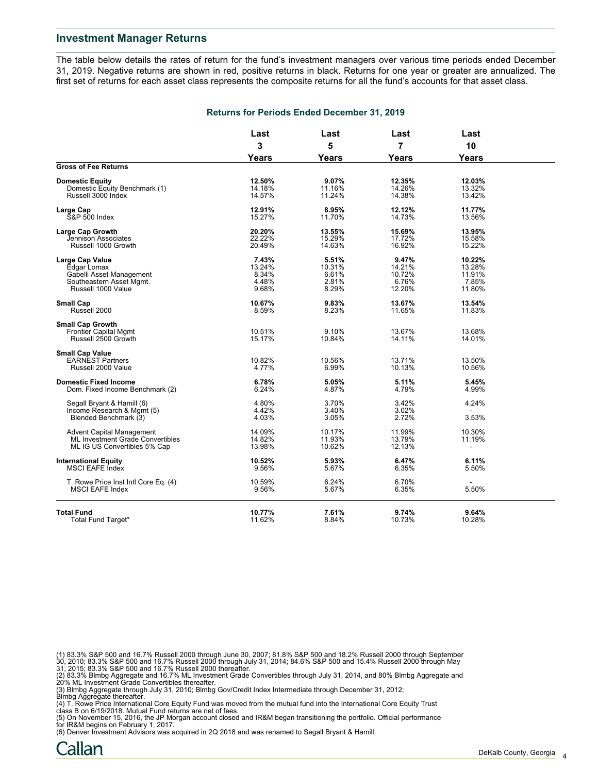The table below details the rates of return for the fund's investment managers over various time periods ended December 31, 2019. Negative returns are shown in red, positive returns in black. Returns for one year or greater are annualized. The first set of returns for each asset class represents the composite returns for all the fund's accounts for that asset class.

|                                      | Last         | Last         | Last         | Last   |  |
|--------------------------------------|--------------|--------------|--------------|--------|--|
|                                      | 3            | 5            | 7            | 10     |  |
|                                      | <b>Years</b> | <b>Years</b> | <b>Years</b> | Years  |  |
| <b>Gross of Fee Returns</b>          |              |              |              |        |  |
| <b>Domestic Equity</b>               | 12.50%       | 9.07%        | 12.35%       | 12.03% |  |
| Domestic Equity Benchmark (1)        | 14.18%       | 11.16%       | 14.26%       | 13.32% |  |
| Russell 3000 Index                   | 14.57%       | 11.24%       | 14.38%       | 13.42% |  |
| Large Cap                            | 12.91%       | 8.95%        | 12.12%       | 11.77% |  |
| <b>S&amp;P 500 Index</b>             | 15.27%       | 11.70%       | 14.73%       | 13.56% |  |
| Large Cap Growth                     | 20.20%       | 13.55%       | 15.69%       | 13.95% |  |
| <b>Jennison Associates</b>           | 22.22%       | 15.29%       | 17.72%       | 15.58% |  |
| Russell 1000 Growth                  | 20.49%       | 14.63%       | 16.92%       | 15.22% |  |
| Large Cap Value                      | 7.43%        | 5.51%        | 9.47%        | 10.22% |  |
| Edgar Lomax                          | 13.24%       | 10.31%       | 14.21%       | 13.28% |  |
| Gabelli Asset Management             | 8.34%        | 6.61%        | 10.72%       | 11.91% |  |
| Southeastern Asset Mgmt.             | 4.48%        | 2.81%        | 6.76%        | 7.85%  |  |
| Russell 1000 Value                   | 9.68%        | 8.29%        | 12.20%       | 11.80% |  |
| <b>Small Cap</b>                     | 10.67%       | 9.83%        | 13.67%       | 13.54% |  |
| Russell 2000                         | 8.59%        | 8.23%        | 11.65%       | 11.83% |  |
| <b>Small Cap Growth</b>              |              |              |              |        |  |
| <b>Frontier Capital Mgmt</b>         | 10.51%       | 9.10%        | 13.67%       | 13.68% |  |
| Russell 2500 Growth                  | 15.17%       | 10.84%       | 14.11%       | 14.01% |  |
| <b>Small Cap Value</b>               |              |              |              |        |  |
| <b>EARNEST Partners</b>              | 10.82%       | 10.56%       | 13.71%       | 13.50% |  |
| Russell 2000 Value                   | 4.77%        | 6.99%        | 10.13%       | 10.56% |  |
| <b>Domestic Fixed Income</b>         | 6.78%        | 5.05%        | 5.11%        | 5.45%  |  |
| Dom. Fixed Income Benchmark (2)      | 6.24%        | 4.87%        | 4.79%        | 4.99%  |  |
| Segall Bryant & Hamill (6)           | 4.80%        | 3.70%        | 3.42%        | 4.24%  |  |
| Income Research & Mgmt (5)           | 4.42%        | 3.40%        | 3.02%        |        |  |
| Blended Benchmark (3)                | 4.03%        | 3.05%        | 2.72%        | 3.53%  |  |
| <b>Advent Capital Management</b>     | 14.09%       | 10.17%       | 11.99%       | 10.30% |  |
| ML Investment Grade Convertibles     | 14.82%       | 11.93%       | 13.79%       | 11.19% |  |
| ML IG US Convertibles 5% Cap         | 13.98%       | 10.62%       | 12.13%       |        |  |
| <b>International Equity</b>          | 10.52%       | 5.93%        | 6.47%        | 6.11%  |  |
| <b>MSCI EAFE Index</b>               | 9.56%        | 5.67%        | 6.35%        | 5.50%  |  |
| T. Rowe Price Inst Intl Core Eq. (4) | 10.59%       | 6.24%        | 6.70%        |        |  |
| <b>MSCI EAFE Index</b>               | 9.56%        | 5.67%        | 6.35%        | 5.50%  |  |
| <b>Total Fund</b>                    | 10.77%       | 7.61%        | 9.74%        | 9.64%  |  |
| Total Fund Target*                   | 11.62%       | 8.84%        | 10.73%       | 10.28% |  |

**Returns for Periods Ended December 31, 2019**

(1) 83.3% S&P 500 and 16.7% Russell 2000 through June 30, 2007; 81.8% S&P 500 and 18.2% Russell 2000 through September<br>30, 2010; 83.3% S&P 500 and 16.7% Russell 2000 through July 31, 2014; 84.6% S&P 500 and 15.4% Russell 2

(3) Blmbg Aggregate through July 31, 2010; Blmbg Gov/Credit Index Intermediate through December 31, 2012;<br>Blmbg Aggregate thereafter.<br>(4) T. Rowe Price International Core Equity Fund was moved from the mutual fund into the

(5) On November 15, 2016, the JP Morgan account closed and IR&M began transitioning the portfolio. Official performance

for IR&M begins on February 1, 2017. (6) Denver Investment Advisors was acquired in 2Q 2018 and was renamed to Segall Bryant & Hamill.

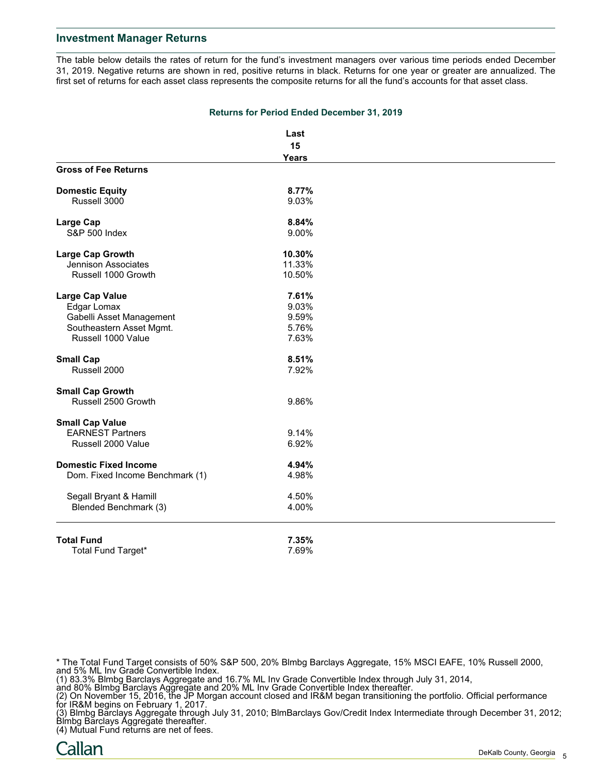The table below details the rates of return for the fund's investment managers over various time periods ended December 31, 2019. Negative returns are shown in red, positive returns in black. Returns for one year or greater are annualized. The first set of returns for each asset class represents the composite returns for all the fund's accounts for that asset class.

|                                 | Last         |  |
|---------------------------------|--------------|--|
|                                 | 15           |  |
|                                 | <b>Years</b> |  |
| <b>Gross of Fee Returns</b>     |              |  |
| <b>Domestic Equity</b>          | 8.77%        |  |
| Russell 3000                    | 9.03%        |  |
| <b>Large Cap</b>                | 8.84%        |  |
| <b>S&amp;P 500 Index</b>        | 9.00%        |  |
| <b>Large Cap Growth</b>         | 10.30%       |  |
| Jennison Associates             | 11.33%       |  |
| Russell 1000 Growth             | 10.50%       |  |
| <b>Large Cap Value</b>          | 7.61%        |  |
| Edgar Lomax                     | 9.03%        |  |
| Gabelli Asset Management        | 9.59%        |  |
| Southeastern Asset Mgmt.        | 5.76%        |  |
| Russell 1000 Value              | 7.63%        |  |
| <b>Small Cap</b>                | 8.51%        |  |
| Russell 2000                    | 7.92%        |  |
| <b>Small Cap Growth</b>         |              |  |
| Russell 2500 Growth             | 9.86%        |  |
| <b>Small Cap Value</b>          |              |  |
| <b>EARNEST Partners</b>         | 9.14%        |  |
| Russell 2000 Value              | 6.92%        |  |
| <b>Domestic Fixed Income</b>    | 4.94%        |  |
| Dom. Fixed Income Benchmark (1) | 4.98%        |  |
| Segall Bryant & Hamill          | 4.50%        |  |
| Blended Benchmark (3)           | 4.00%        |  |
| <b>Total Fund</b>               | 7.35%        |  |
| Total Fund Target*              | 7.69%        |  |

**Returns for Period Ended December 31, 2019**

\* The Total Fund Target consists of 50% S&P 500, 20% Blmbg Barclays Aggregate, 15% MSCI EAFE, 10% Russell 2000, and 5% ML Inv Grade Convertible Index.

(1) 83.3% Blmbg Barclays Aggregate and 16.7% ML Inv Grade Convertible Index through July 31, 2014,

and 80% Blmbg Barclays Aggregate and 20% ML Inv Grade Convertible Index thereafter.

(2) On November 15, 2016, the JP Morgan account closed and IR&M began transitioning the portfolio. Official performance for IR&M begins on February 1, 2017.

(3) Blmbg Barclays Aggregate through July 31, 2010; BlmBarclays Gov/Credit Index Intermediate through December 31, 2012; Blmbg Barclays Aggregate thereafter.

(4) Mutual Fund returns are net of fees.

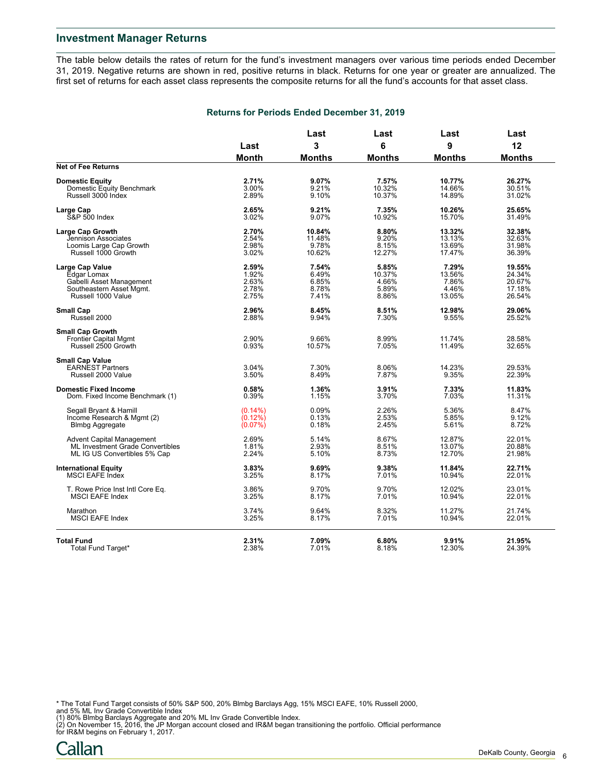The table below details the rates of return for the fund's investment managers over various time periods ended December 31, 2019. Negative returns are shown in red, positive returns in black. Returns for one year or greater are annualized. The first set of returns for each asset class represents the composite returns for all the fund's accounts for that asset class.

#### **Returns for Periods Ended December 31, 2019**

|                                                 | Last           | Last           | Last             | Last             | Last             |
|-------------------------------------------------|----------------|----------------|------------------|------------------|------------------|
|                                                 |                | 3              | 6                | 9                | 12               |
|                                                 | Month          | <b>Months</b>  | <b>Months</b>    | <b>Months</b>    | <b>Months</b>    |
| <b>Net of Fee Returns</b>                       |                |                |                  |                  |                  |
| <b>Domestic Equity</b>                          | 2.71%          | 9.07%          | 7.57%            | 10.77%           | 26.27%           |
| Domestic Equity Benchmark<br>Russell 3000 Index | 3.00%<br>2.89% | 9.21%<br>9.10% | 10.32%<br>10.37% | 14.66%<br>14.89% | 30.51%<br>31.02% |
| Large Cap                                       | 2.65%          | 9.21%          | 7.35%            | 10.26%           | 25.65%           |
| <b>S&amp;P 500 Index</b>                        | 3.02%          | 9.07%          | 10.92%           | 15.70%           | 31.49%           |
| <b>Large Cap Growth</b>                         | 2.70%          | 10.84%         | 8.80%            | 13.32%           | 32.38%           |
| Jennison Associates                             | 2.54%          | 11.48%         | 9.20%            | 13.13%           | 32.63%           |
| Loomis Large Cap Growth                         | 2.98%          | 9.78%          | 8.15%            | 13.69%           | 31.98%           |
| Russell 1000 Growth                             | 3.02%          | 10.62%         | 12.27%           | 17.47%           | 36.39%           |
| Large Cap Value                                 | 2.59%          | 7.54%          | 5.85%            | 7.29%            | 19.55%           |
| Edgar Lomax                                     | 1.92%          | 6.49%          | 10.37%           | 13.56%           | 24.34%           |
| Gabelli Asset Management                        | 2.63%          | 6.85%          | 4.66%<br>5.89%   | 7.86%<br>4.46%   | 20.67%<br>17.18% |
| Southeastern Asset Mgmt.<br>Russell 1000 Value  | 2.78%<br>2.75% | 8.78%<br>7.41% | 8.86%            | 13.05%           | 26.54%           |
|                                                 |                |                |                  |                  |                  |
| <b>Small Cap</b>                                | 2.96%          | 8.45%          | 8.51%            | 12.98%           | 29.06%           |
| Russell 2000                                    | 2.88%          | 9.94%          | 7.30%            | 9.55%            | 25.52%           |
| <b>Small Cap Growth</b>                         |                |                |                  |                  |                  |
| <b>Frontier Capital Mgmt</b>                    | 2.90%          | 9.66%          | 8.99%            | 11.74%           | 28.58%           |
| Russell 2500 Growth                             | 0.93%          | 10.57%         | 7.05%            | 11.49%           | 32.65%           |
| <b>Small Cap Value</b>                          |                |                |                  |                  |                  |
| <b>EARNEST Partners</b>                         | 3.04%          | 7.30%          | 8.06%            | 14.23%           | 29.53%           |
| Russell 2000 Value                              | 3.50%          | 8.49%          | 7.87%            | 9.35%            | 22.39%           |
| <b>Domestic Fixed Income</b>                    | 0.58%          | 1.36%          | 3.91%            | 7.33%            | 11.83%           |
| Dom. Fixed Income Benchmark (1)                 | 0.39%          | 1.15%          | 3.70%            | 7.03%            | 11.31%           |
| Segall Bryant & Hamill                          | $(0.14\%)$     | 0.09%          | 2.26%            | 5.36%            | 8.47%            |
| Income Research & Mgmt (2)                      | $(0.12\%)$     | 0.13%          | 2.53%            | 5.85%            | 9.12%            |
| <b>Blmbg Aggregate</b>                          | (0.07%)        | 0.18%          | 2.45%            | 5.61%            | 8.72%            |
| <b>Advent Capital Management</b>                | 2.69%          | 5.14%          | 8.67%            | 12.87%           | 22.01%           |
| <b>ML Investment Grade Convertibles</b>         | 1.81%          | 2.93%          | 8.51%            | 13.07%           | 20.88%           |
| ML IG US Convertibles 5% Cap                    | 2.24%          | 5.10%          | 8.73%            | 12.70%           | 21.98%           |
| <b>International Equity</b>                     | 3.83%          | 9.69%          | 9.38%            | 11.84%           | 22.71%           |
| <b>MSCI EAFE Index</b>                          | 3.25%          | 8.17%          | 7.01%            | 10.94%           | 22.01%           |
| T. Rowe Price Inst Intl Core Eq.                | 3.86%          | 9.70%          | 9.70%            | 12.02%           | 23.01%           |
| <b>MSCI EAFE Index</b>                          | 3.25%          | 8.17%          | 7.01%            | 10.94%           | 22.01%           |
| Marathon                                        | 3.74%          | 9.64%          | 8.32%            | 11.27%           | 21.74%           |
| <b>MSCI EAFE Index</b>                          | 3.25%          | 8.17%          | 7.01%            | 10.94%           | 22.01%           |
|                                                 |                |                |                  |                  |                  |
| <b>Total Fund</b>                               | 2.31%          | 7.09%          | 6.80%            | 9.91%            | 21.95%           |
| Total Fund Target*                              | 2.38%          | 7.01%          | 8.18%            | 12.30%           | 24.39%           |

\* The Total Fund Target consists of 50% S&P 500, 20% Blmbg Barclays Agg, 15% MSCI EAFE, 10% Russell 2000, and 5% ML Inv Grade Convertible Index

(1) 80% Blmbg Barclays Aggregate and 20% ML Inv Grade Convertible Index.<br>(2) On November 15, 2016, the JP Morgan account closed and IR&M began transitioning the portfolio. Official performance<br>for IR&M begins on February 1

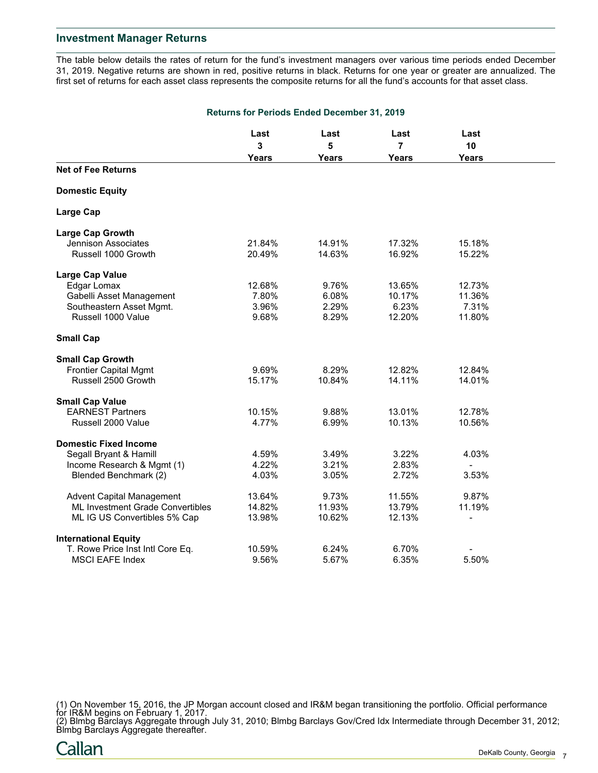The table below details the rates of return for the fund's investment managers over various time periods ended December 31, 2019. Negative returns are shown in red, positive returns in black. Returns for one year or greater are annualized. The first set of returns for each asset class represents the composite returns for all the fund's accounts for that asset class.

|                                  | <b>Returns for Periods Ended December 31, 2019</b> |        |                |                          |  |
|----------------------------------|----------------------------------------------------|--------|----------------|--------------------------|--|
|                                  | Last                                               | Last   | Last           | Last                     |  |
|                                  | 3                                                  | 5      | $\overline{7}$ | 10                       |  |
|                                  | <b>Years</b>                                       | Years  | Years          | <b>Years</b>             |  |
| <b>Net of Fee Returns</b>        |                                                    |        |                |                          |  |
| <b>Domestic Equity</b>           |                                                    |        |                |                          |  |
| <b>Large Cap</b>                 |                                                    |        |                |                          |  |
| <b>Large Cap Growth</b>          |                                                    |        |                |                          |  |
| <b>Jennison Associates</b>       | 21.84%                                             | 14.91% | 17.32%         | 15.18%                   |  |
| Russell 1000 Growth              | 20.49%                                             | 14.63% | 16.92%         | 15.22%                   |  |
| <b>Large Cap Value</b>           |                                                    |        |                |                          |  |
| Edgar Lomax                      | 12.68%                                             | 9.76%  | 13.65%         | 12.73%                   |  |
| Gabelli Asset Management         | 7.80%                                              | 6.08%  | 10.17%         | 11.36%                   |  |
| Southeastern Asset Mgmt.         | 3.96%                                              | 2.29%  | 6.23%          | 7.31%                    |  |
| Russell 1000 Value               | 9.68%                                              | 8.29%  | 12.20%         | 11.80%                   |  |
| <b>Small Cap</b>                 |                                                    |        |                |                          |  |
| <b>Small Cap Growth</b>          |                                                    |        |                |                          |  |
| <b>Frontier Capital Mgmt</b>     | 9.69%                                              | 8.29%  | 12.82%         | 12.84%                   |  |
| Russell 2500 Growth              | 15.17%                                             | 10.84% | 14.11%         | 14.01%                   |  |
| <b>Small Cap Value</b>           |                                                    |        |                |                          |  |
| <b>EARNEST Partners</b>          | 10.15%                                             | 9.88%  | 13.01%         | 12.78%                   |  |
| Russell 2000 Value               | 4.77%                                              | 6.99%  | 10.13%         | 10.56%                   |  |
| <b>Domestic Fixed Income</b>     |                                                    |        |                |                          |  |
| Segall Bryant & Hamill           | 4.59%                                              | 3.49%  | 3.22%          | 4.03%                    |  |
| Income Research & Mgmt (1)       | 4.22%                                              | 3.21%  | 2.83%          | $\overline{\phantom{a}}$ |  |
| Blended Benchmark (2)            | 4.03%                                              | 3.05%  | 2.72%          | 3.53%                    |  |
| <b>Advent Capital Management</b> | 13.64%                                             | 9.73%  | 11.55%         | 9.87%                    |  |
| ML Investment Grade Convertibles | 14.82%                                             | 11.93% | 13.79%         | 11.19%                   |  |
| ML IG US Convertibles 5% Cap     | 13.98%                                             | 10.62% | 12.13%         | $\overline{\phantom{0}}$ |  |
| <b>International Equity</b>      |                                                    |        |                |                          |  |
| T. Rowe Price Inst Intl Core Eq. | 10.59%                                             | 6.24%  | 6.70%          |                          |  |
| <b>MSCI EAFE Index</b>           | 9.56%                                              | 5.67%  | 6.35%          | 5.50%                    |  |

(1) On November 15, 2016, the JP Morgan account closed and IR&M began transitioning the portfolio. Official performance for IR&M begins on February 1, 2017.

(2) Blmbg Barclays Aggregate through July 31, 2010; Blmbg Barclays Gov/Cred Idx Intermediate through December 31, 2012; Blmbg Barclays Aggregate thereafter.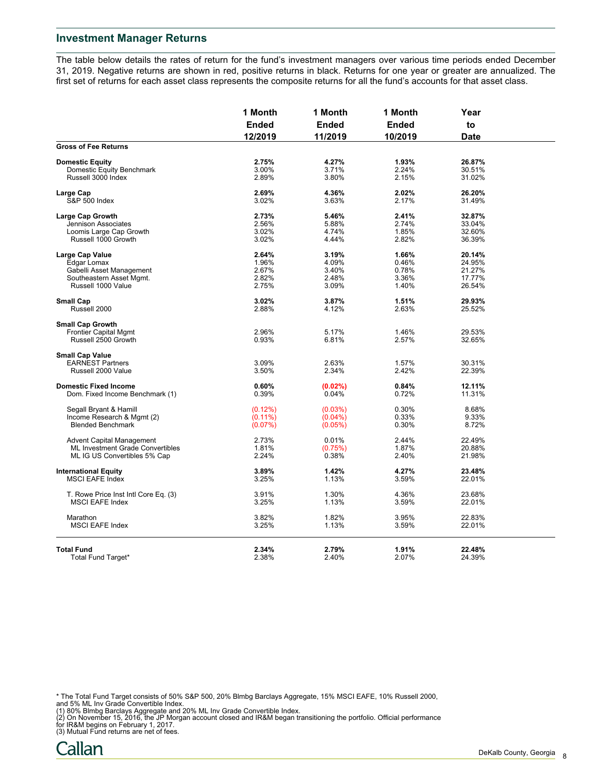The table below details the rates of return for the fund's investment managers over various time periods ended December 31, 2019. Negative returns are shown in red, positive returns in black. Returns for one year or greater are annualized. The first set of returns for each asset class represents the composite returns for all the fund's accounts for that asset class.

|                                      | 1 Month<br><b>Ended</b><br>12/2019 | 1 Month<br><b>Ended</b><br>11/2019 | 1 Month<br><b>Ended</b><br>10/2019 | Year<br>to<br><b>Date</b> |  |
|--------------------------------------|------------------------------------|------------------------------------|------------------------------------|---------------------------|--|
|                                      |                                    |                                    |                                    |                           |  |
|                                      |                                    |                                    |                                    |                           |  |
| <b>Gross of Fee Returns</b>          |                                    |                                    |                                    |                           |  |
| <b>Domestic Equity</b>               | 2.75%                              | 4.27%                              | 1.93%                              | 26.87%                    |  |
| Domestic Equity Benchmark            | 3.00%                              | 3.71%                              | 2.24%                              | 30.51%                    |  |
| Russell 3000 Index                   | 2.89%                              | 3.80%                              | 2.15%                              | 31.02%                    |  |
| Large Cap                            | 2.69%                              | 4.36%                              | 2.02%                              | 26.20%                    |  |
| <b>S&amp;P 500 Index</b>             | 3.02%                              | 3.63%                              | 2.17%                              | 31.49%                    |  |
| <b>Large Cap Growth</b>              | 2.73%                              | 5.46%                              | 2.41%                              | 32.87%                    |  |
| Jennison Associates                  | 2.56%                              | 5.88%                              | 2.74%                              | 33.04%                    |  |
| Loomis Large Cap Growth              | 3.02%                              | 4.74%                              | 1.85%                              | 32.60%                    |  |
| Russell 1000 Growth                  | 3.02%                              | 4.44%                              | 2.82%                              | 36.39%                    |  |
| <b>Large Cap Value</b>               | 2.64%                              | 3.19%                              | 1.66%                              | 20.14%                    |  |
| Edgar Lomax                          | 1.96%                              | 4.09%                              | 0.46%                              | 24.95%                    |  |
| Gabelli Asset Management             | 2.67%                              | 3.40%                              | 0.78%                              | 21.27%                    |  |
| Southeastern Asset Mgmt.             | 2.82%                              | 2.48%                              | 3.36%                              | 17.77%                    |  |
| Russell 1000 Value                   |                                    |                                    |                                    |                           |  |
|                                      | 2.75%                              | 3.09%                              | 1.40%                              | 26.54%                    |  |
| <b>Small Cap</b>                     | 3.02%                              | 3.87%                              | 1.51%                              | 29.93%                    |  |
| Russell 2000                         | 2.88%                              | 4.12%                              | 2.63%                              | 25.52%                    |  |
| <b>Small Cap Growth</b>              |                                    |                                    |                                    |                           |  |
| <b>Frontier Capital Mgmt</b>         | 2.96%                              | 5.17%                              | 1.46%                              | 29.53%                    |  |
| Russell 2500 Growth                  | 0.93%                              | 6.81%                              | 2.57%                              | 32.65%                    |  |
| <b>Small Cap Value</b>               |                                    |                                    |                                    |                           |  |
| <b>EARNEST Partners</b>              | 3.09%                              | 2.63%                              | 1.57%                              | 30.31%                    |  |
| Russell 2000 Value                   |                                    |                                    | 2.42%                              |                           |  |
|                                      | 3.50%                              | 2.34%                              |                                    | 22.39%                    |  |
| <b>Domestic Fixed Income</b>         | 0.60%                              | $(0.02\%)$                         | 0.84%                              | 12.11%                    |  |
| Dom. Fixed Income Benchmark (1)      | 0.39%                              | 0.04%                              | 0.72%                              | 11.31%                    |  |
| Segall Bryant & Hamill               | $(0.12\%)$                         | (0.03%)                            | 0.30%                              | 8.68%                     |  |
| Income Research & Mgmt (2)           | $(0.11\%)$                         | $(0.04\%)$                         | 0.33%                              | 9.33%                     |  |
| <b>Blended Benchmark</b>             | (0.07%)                            | $(0.05\%)$                         | 0.30%                              | 8.72%                     |  |
| <b>Advent Capital Management</b>     | 2.73%                              | 0.01%                              | 2.44%                              | 22.49%                    |  |
| ML Investment Grade Convertibles     | 1.81%                              | (0.75%)                            | 1.87%                              | 20.88%                    |  |
| ML IG US Convertibles 5% Cap         | 2.24%                              | 0.38%                              | 2.40%                              | 21.98%                    |  |
| <b>International Equity</b>          | 3.89%                              | 1.42%                              | 4.27%                              | 23.48%                    |  |
| <b>MSCI EAFE Index</b>               | 3.25%                              | 1.13%                              | 3.59%                              | 22.01%                    |  |
| T. Rowe Price Inst Intl Core Eq. (3) | 3.91%                              | 1.30%                              | 4.36%                              | 23.68%                    |  |
| <b>MSCI EAFE Index</b>               | 3.25%                              | 1.13%                              | 3.59%                              | 22.01%                    |  |
| Marathon                             | 3.82%                              | 1.82%                              | 3.95%                              | 22.83%                    |  |
| <b>MSCI EAFE Index</b>               | 3.25%                              | 1.13%                              | 3.59%                              | 22.01%                    |  |
|                                      |                                    |                                    |                                    |                           |  |
| <b>Total Fund</b>                    | 2.34%                              | 2.79%                              | 1.91%                              | 22.48%                    |  |
| Total Fund Target*                   | 2.38%                              | 2.40%                              | 2.07%                              | 24.39%                    |  |

- 
- \* The Total Fund Target consists of 50% S&P 500, 20% Blmbg Barclays Aggregate, 15% MSCI EAFE, 10% Russell 2000,<br>and 5% ML Inv Grade Convertible Index.<br>(1) 80% Blmbg Barclays Aggregate and 20% ML Inv Grade Convertible Index